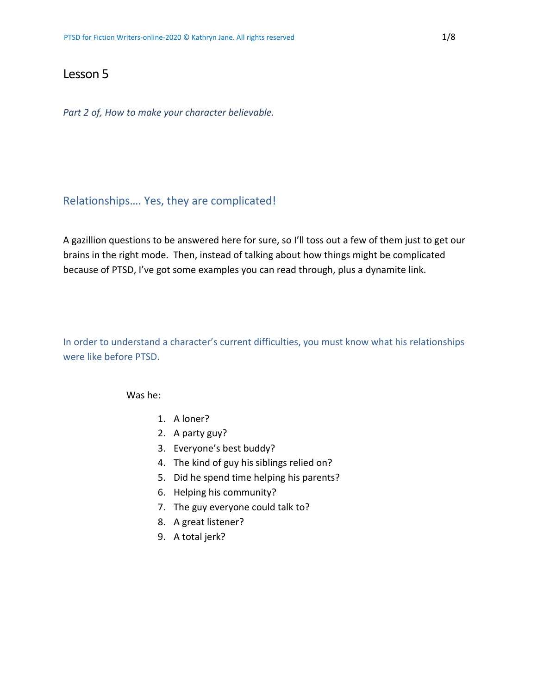# Lesson 5

*Part 2 of, How to make your character believable.*

## Relationships…. Yes, they are complicated!

A gazillion questions to be answered here for sure, so I'll toss out a few of them just to get our brains in the right mode. Then, instead of talking about how things might be complicated because of PTSD, I've got some examples you can read through, plus a dynamite link.

In order to understand a character's current difficulties, you must know what his relationships were like before PTSD.

Was he:

- 1. A loner?
- 2. A party guy?
- 3. Everyone's best buddy?
- 4. The kind of guy his siblings relied on?
- 5. Did he spend time helping his parents?
- 6. Helping his community?
- 7. The guy everyone could talk to?
- 8. A great listener?
- 9. A total jerk?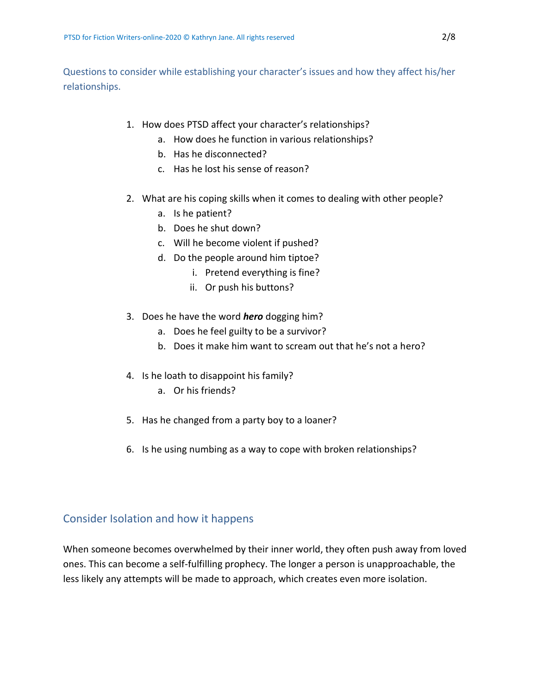Questions to consider while establishing your character's issues and how they affect his/her relationships.

- 1. How does PTSD affect your character's relationships?
	- a. How does he function in various relationships?
	- b. Has he disconnected?
	- c. Has he lost his sense of reason?
- 2. What are his coping skills when it comes to dealing with other people?
	- a. Is he patient?
	- b. Does he shut down?
	- c. Will he become violent if pushed?
	- d. Do the people around him tiptoe?
		- i. Pretend everything is fine?
		- ii. Or push his buttons?
- 3. Does he have the word *hero* dogging him?
	- a. Does he feel guilty to be a survivor?
	- b. Does it make him want to scream out that he's not a hero?
- 4. Is he loath to disappoint his family?
	- a. Or his friends?
- 5. Has he changed from a party boy to a loaner?
- 6. Is he using numbing as a way to cope with broken relationships?

## Consider Isolation and how it happens

When someone becomes overwhelmed by their inner world, they often push away from loved ones. This can become a self-fulfilling prophecy. The longer a person is unapproachable, the less likely any attempts will be made to approach, which creates even more isolation.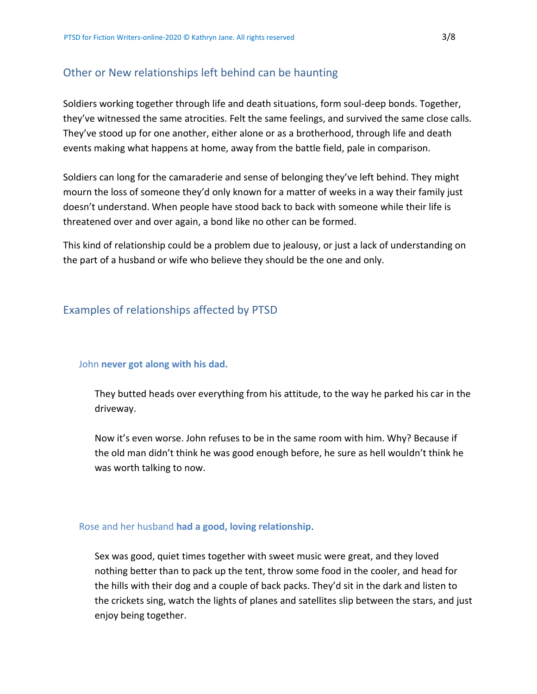# Other or New relationships left behind can be haunting

Soldiers working together through life and death situations, form soul-deep bonds. Together, they've witnessed the same atrocities. Felt the same feelings, and survived the same close calls. They've stood up for one another, either alone or as a brotherhood, through life and death events making what happens at home, away from the battle field, pale in comparison.

Soldiers can long for the camaraderie and sense of belonging they've left behind. They might mourn the loss of someone they'd only known for a matter of weeks in a way their family just doesn't understand. When people have stood back to back with someone while their life is threatened over and over again, a bond like no other can be formed.

This kind of relationship could be a problem due to jealousy, or just a lack of understanding on the part of a husband or wife who believe they should be the one and only.

# Examples of relationships affected by PTSD

### John **never got along with his dad.**

They butted heads over everything from his attitude, to the way he parked his car in the driveway.

Now it's even worse. John refuses to be in the same room with him. Why? Because if the old man didn't think he was good enough before, he sure as hell wouldn't think he was worth talking to now.

### Rose and her husband **had a good, loving relationship**.

Sex was good, quiet times together with sweet music were great, and they loved nothing better than to pack up the tent, throw some food in the cooler, and head for the hills with their dog and a couple of back packs. They'd sit in the dark and listen to the crickets sing, watch the lights of planes and satellites slip between the stars, and just enjoy being together.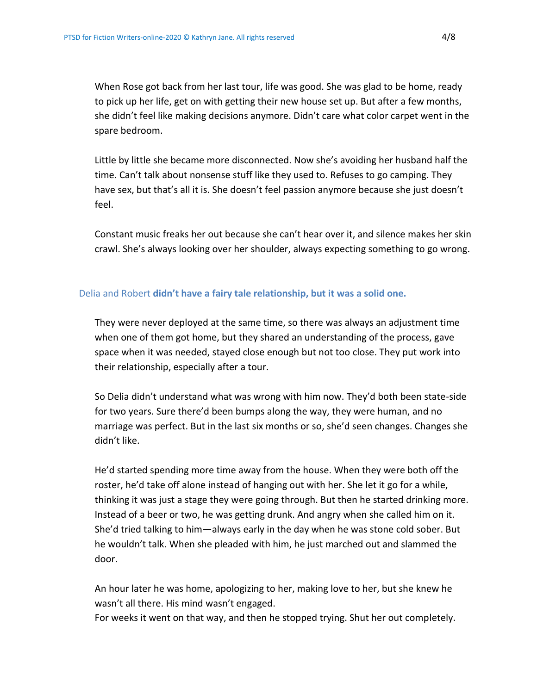When Rose got back from her last tour, life was good. She was glad to be home, ready to pick up her life, get on with getting their new house set up. But after a few months, she didn't feel like making decisions anymore. Didn't care what color carpet went in the spare bedroom.

Little by little she became more disconnected. Now she's avoiding her husband half the time. Can't talk about nonsense stuff like they used to. Refuses to go camping. They have sex, but that's all it is. She doesn't feel passion anymore because she just doesn't feel.

Constant music freaks her out because she can't hear over it, and silence makes her skin crawl. She's always looking over her shoulder, always expecting something to go wrong.

## Delia and Robert **didn't have a fairy tale relationship, but it was a solid one.**

They were never deployed at the same time, so there was always an adjustment time when one of them got home, but they shared an understanding of the process, gave space when it was needed, stayed close enough but not too close. They put work into their relationship, especially after a tour.

So Delia didn't understand what was wrong with him now. They'd both been state-side for two years. Sure there'd been bumps along the way, they were human, and no marriage was perfect. But in the last six months or so, she'd seen changes. Changes she didn't like.

He'd started spending more time away from the house. When they were both off the roster, he'd take off alone instead of hanging out with her. She let it go for a while, thinking it was just a stage they were going through. But then he started drinking more. Instead of a beer or two, he was getting drunk. And angry when she called him on it. She'd tried talking to him—always early in the day when he was stone cold sober. But he wouldn't talk. When she pleaded with him, he just marched out and slammed the door.

An hour later he was home, apologizing to her, making love to her, but she knew he wasn't all there. His mind wasn't engaged.

For weeks it went on that way, and then he stopped trying. Shut her out completely.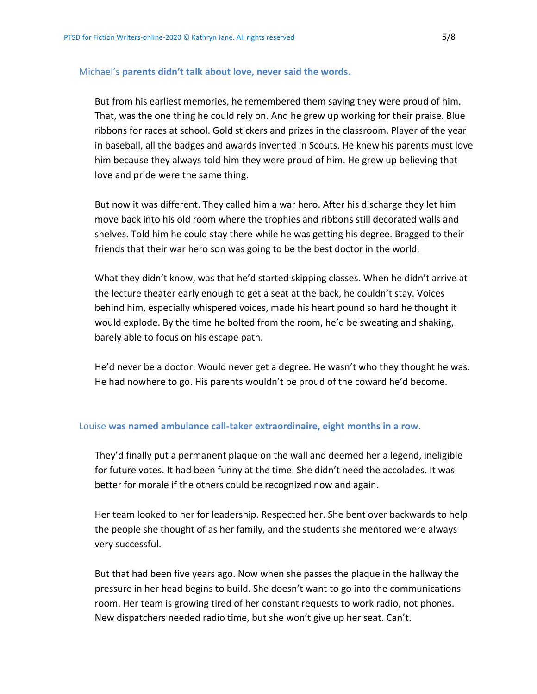### Michael's **parents didn't talk about love, never said the words.**

But from his earliest memories, he remembered them saying they were proud of him. That, was the one thing he could rely on. And he grew up working for their praise. Blue ribbons for races at school. Gold stickers and prizes in the classroom. Player of the year in baseball, all the badges and awards invented in Scouts. He knew his parents must love him because they always told him they were proud of him. He grew up believing that love and pride were the same thing.

But now it was different. They called him a war hero. After his discharge they let him move back into his old room where the trophies and ribbons still decorated walls and shelves. Told him he could stay there while he was getting his degree. Bragged to their friends that their war hero son was going to be the best doctor in the world.

What they didn't know, was that he'd started skipping classes. When he didn't arrive at the lecture theater early enough to get a seat at the back, he couldn't stay. Voices behind him, especially whispered voices, made his heart pound so hard he thought it would explode. By the time he bolted from the room, he'd be sweating and shaking, barely able to focus on his escape path.

He'd never be a doctor. Would never get a degree. He wasn't who they thought he was. He had nowhere to go. His parents wouldn't be proud of the coward he'd become.

### Louise **was named ambulance call-taker extraordinaire, eight months in a row.**

They'd finally put a permanent plaque on the wall and deemed her a legend, ineligible for future votes. It had been funny at the time. She didn't need the accolades. It was better for morale if the others could be recognized now and again.

Her team looked to her for leadership. Respected her. She bent over backwards to help the people she thought of as her family, and the students she mentored were always very successful.

But that had been five years ago. Now when she passes the plaque in the hallway the pressure in her head begins to build. She doesn't want to go into the communications room. Her team is growing tired of her constant requests to work radio, not phones. New dispatchers needed radio time, but she won't give up her seat. Can't.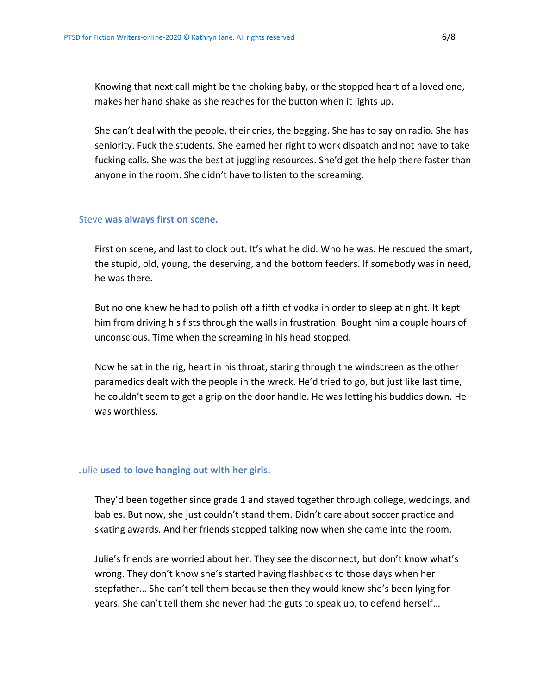Knowing that next call might be the choking baby, or the stopped heart of a loved one, makes her hand shake as she reaches for the button when it lights up.

She can't deal with the people, their cries, the begging. She has to say on radio. She has seniority. Fuck the students. She earned her right to work dispatch and not have to take fucking calls. She was the best at juggling resources. She'd get the help there faster than anyone in the room. She didn't have to listen to the screaming.

#### Steve **was always first on scene.**

First on scene, and last to clock out. It's what he did. Who he was. He rescued the smart, the stupid, old, young, the deserving, and the bottom feeders. If somebody was in need, he was there.

But no one knew he had to polish off a fifth of vodka in order to sleep at night. It kept him from driving his fists through the walls in frustration. Bought him a couple hours of unconscious. Time when the screaming in his head stopped.

Now he sat in the rig, heart in his throat, staring through the windscreen as the other paramedics dealt with the people in the wreck. He'd tried to go, but just like last time, he couldn't seem to get a grip on the door handle. He was letting his buddies down. He was worthless.

#### Julie **used to love hanging out with her girls.**

They'd been together since grade 1 and stayed together through college, weddings, and babies. But now, she just couldn't stand them. Didn't care about soccer practice and skating awards. And her friends stopped talking now when she came into the room.

Julie's friends are worried about her. They see the disconnect, but don't know what's wrong. They don't know she's started having flashbacks to those days when her stepfather… She can't tell them because then they would know she's been lying for years. She can't tell them she never had the guts to speak up, to defend herself…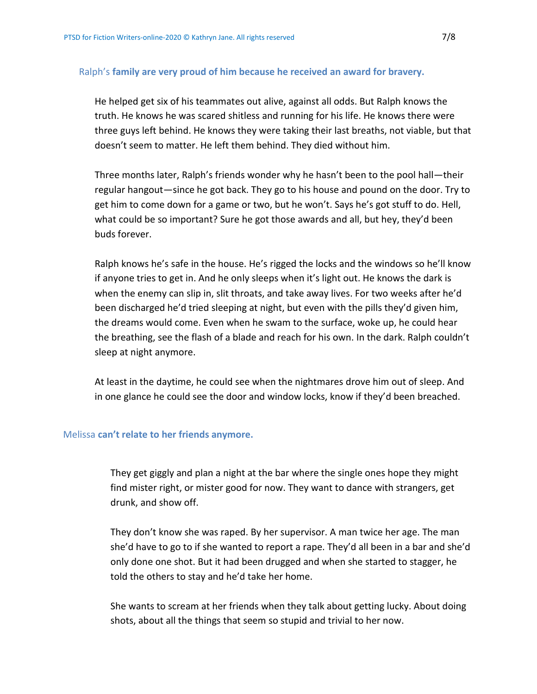#### Ralph's **family are very proud of him because he received an award for bravery.**

He helped get six of his teammates out alive, against all odds. But Ralph knows the truth. He knows he was scared shitless and running for his life. He knows there were three guys left behind. He knows they were taking their last breaths, not viable, but that doesn't seem to matter. He left them behind. They died without him.

Three months later, Ralph's friends wonder why he hasn't been to the pool hall—their regular hangout—since he got back. They go to his house and pound on the door. Try to get him to come down for a game or two, but he won't. Says he's got stuff to do. Hell, what could be so important? Sure he got those awards and all, but hey, they'd been buds forever.

Ralph knows he's safe in the house. He's rigged the locks and the windows so he'll know if anyone tries to get in. And he only sleeps when it's light out. He knows the dark is when the enemy can slip in, slit throats, and take away lives. For two weeks after he'd been discharged he'd tried sleeping at night, but even with the pills they'd given him, the dreams would come. Even when he swam to the surface, woke up, he could hear the breathing, see the flash of a blade and reach for his own. In the dark. Ralph couldn't sleep at night anymore.

At least in the daytime, he could see when the nightmares drove him out of sleep. And in one glance he could see the door and window locks, know if they'd been breached.

#### Melissa **can't relate to her friends anymore.**

They get giggly and plan a night at the bar where the single ones hope they might find mister right, or mister good for now. They want to dance with strangers, get drunk, and show off.

They don't know she was raped. By her supervisor. A man twice her age. The man she'd have to go to if she wanted to report a rape. They'd all been in a bar and she'd only done one shot. But it had been drugged and when she started to stagger, he told the others to stay and he'd take her home.

She wants to scream at her friends when they talk about getting lucky. About doing shots, about all the things that seem so stupid and trivial to her now.